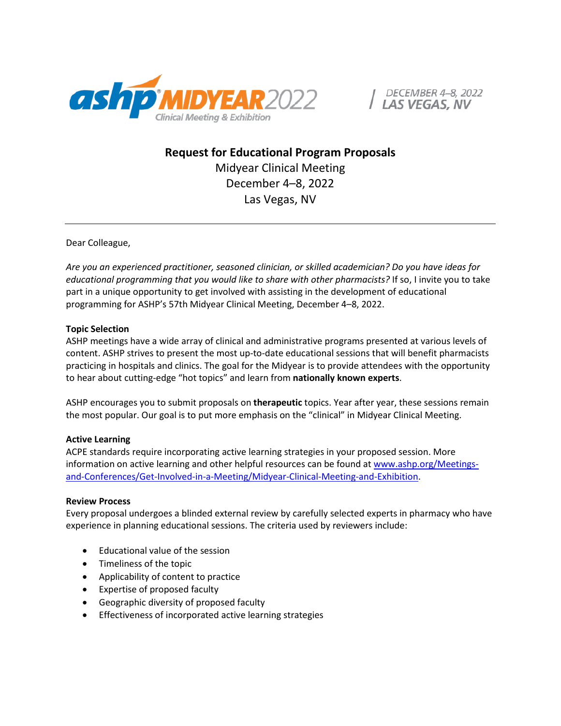

DECEMBER 4-8, 2022

**Request for Educational Program Proposals** Midyear Clinical Meeting December 4–8, 2022 Las Vegas, NV

Dear Colleague,

*Are you an experienced practitioner, seasoned clinician, or skilled academician? Do you have ideas for educational programming that you would like to share with other pharmacists?* If so, I invite you to take part in a unique opportunity to get involved with assisting in the development of educational programming for ASHP's 57th Midyear Clinical Meeting, December 4–8, 2022.

## **Topic Selection**

ASHP meetings have a wide array of clinical and administrative programs presented at various levels of content. ASHP strives to present the most up-to-date educational sessions that will benefit pharmacists practicing in hospitals and clinics. The goal for the Midyear is to provide attendees with the opportunity to hear about cutting-edge "hot topics" and learn from **nationally known experts**.

ASHP encourages you to submit proposals on **therapeutic** topics. Year after year, these sessions remain the most popular. Our goal is to put more emphasis on the "clinical" in Midyear Clinical Meeting.

## **Active Learning**

ACPE standards require incorporating active learning strategies in your proposed session. More information on active learning and other helpful resources can be found at [www.ashp.org/Meetings](https://www.ashp.org/Meetings-and-Conferences/Get-Involved-in-a-Meeting/Midyear-Clinical-Meeting-and-Exhibition)[and-Conferences/Get-Involved-in-a-Meeting/Midyear-Clinical-Meeting-and-Exhibition.](https://www.ashp.org/Meetings-and-Conferences/Get-Involved-in-a-Meeting/Midyear-Clinical-Meeting-and-Exhibition)

## **Review Process**

Every proposal undergoes a blinded external review by carefully selected experts in pharmacy who have experience in planning educational sessions. The criteria used by reviewers include:

- Educational value of the session
- Timeliness of the topic
- Applicability of content to practice
- Expertise of proposed faculty
- Geographic diversity of proposed faculty
- Effectiveness of incorporated active learning strategies